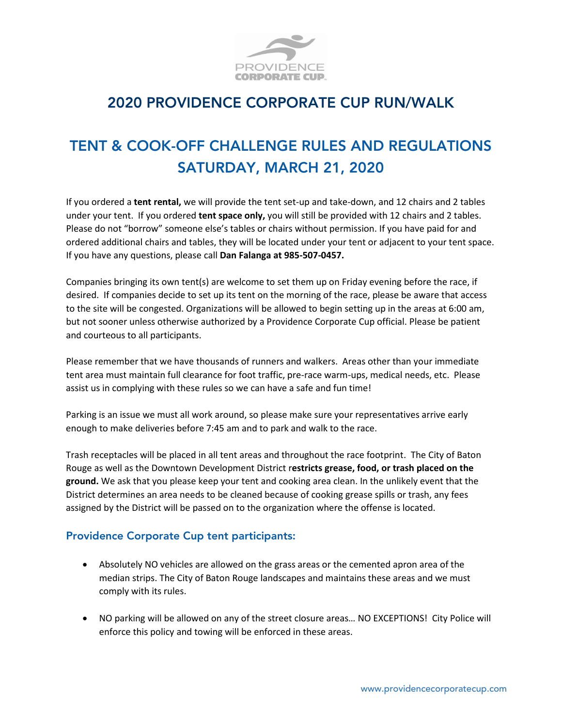

## 2020 PROVIDENCE CORPORATE CUP RUN/WALK

## TENT & COOK-OFF CHALLENGE RULES AND REGULATIONS SATURDAY, MARCH 21, 2020

If you ordered a **tent rental,** we will provide the tent set-up and take-down, and 12 chairs and 2 tables under your tent. If you ordered **tent space only,** you will still be provided with 12 chairs and 2 tables. Please do not "borrow" someone else's tables or chairs without permission. If you have paid for and ordered additional chairs and tables, they will be located under your tent or adjacent to your tent space. If you have any questions, please call **Dan Falanga at 985-507-0457.**

Companies bringing its own tent(s) are welcome to set them up on Friday evening before the race, if desired. If companies decide to set up its tent on the morning of the race, please be aware that access to the site will be congested. Organizations will be allowed to begin setting up in the areas at 6:00 am, but not sooner unless otherwise authorized by a Providence Corporate Cup official. Please be patient and courteous to all participants.

Please remember that we have thousands of runners and walkers. Areas other than your immediate tent area must maintain full clearance for foot traffic, pre-race warm-ups, medical needs, etc. Please assist us in complying with these rules so we can have a safe and fun time!

Parking is an issue we must all work around, so please make sure your representatives arrive early enough to make deliveries before 7:45 am and to park and walk to the race.

Trash receptacles will be placed in all tent areas and throughout the race footprint. The City of Baton Rouge as well as the Downtown Development District r**estricts grease, food, or trash placed on the ground.** We ask that you please keep your tent and cooking area clean. In the unlikely event that the District determines an area needs to be cleaned because of cooking grease spills or trash, any fees assigned by the District will be passed on to the organization where the offense is located.

## Providence Corporate Cup tent participants:

- Absolutely NO vehicles are allowed on the grass areas or the cemented apron area of the median strips. The City of Baton Rouge landscapes and maintains these areas and we must comply with its rules.
- NO parking will be allowed on any of the street closure areas… NO EXCEPTIONS! City Police will enforce this policy and towing will be enforced in these areas.

www.providencecorporatecup.com